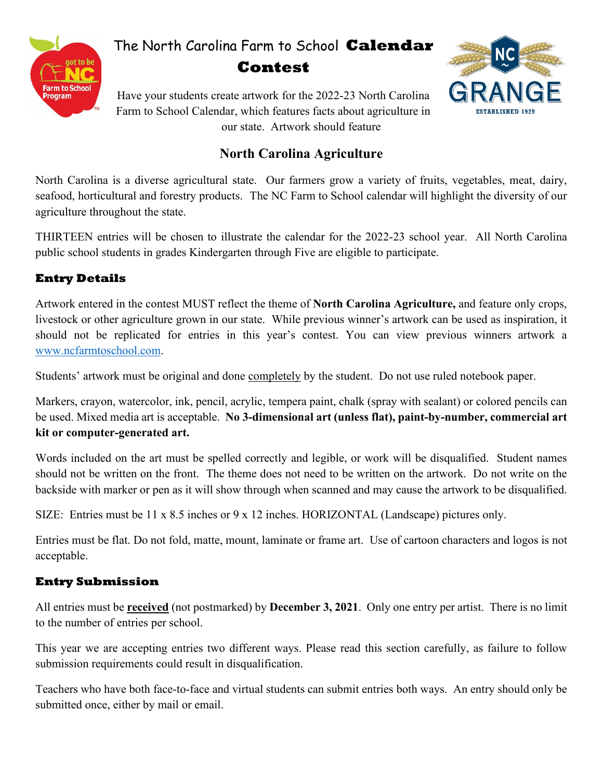

# The North Carolina Farm to School **Calendar Contest**



Have your students create artwork for the 2022-23 North Carolina Farm to School Calendar, which features facts about agriculture in our state. Artwork should feature

## **North Carolina Agriculture**

North Carolina is a diverse agricultural state. Our farmers grow a variety of fruits, vegetables, meat, dairy, seafood, horticultural and forestry products. The NC Farm to School calendar will highlight the diversity of our agriculture throughout the state.

THIRTEEN entries will be chosen to illustrate the calendar for the 2022-23 school year. All North Carolina public school students in grades Kindergarten through Five are eligible to participate.

## **Entry Details**

Artwork entered in the contest MUST reflect the theme of **North Carolina Agriculture,** and feature only crops, livestock or other agriculture grown in our state. While previous winner's artwork can be used as inspiration, it should not be replicated for entries in this year's contest. You can view previous winners artwork a [www.ncfarmtoschool.com.](http://www.ncfarmtoschool.com/)

Students' artwork must be original and done completely by the student. Do not use ruled notebook paper.

Markers, crayon, watercolor, ink, pencil, acrylic, tempera paint, chalk (spray with sealant) or colored pencils can be used. Mixed media art is acceptable. **No 3-dimensional art (unless flat), paint-by-number, commercial art kit or computer-generated art.**

Words included on the art must be spelled correctly and legible, or work will be disqualified. Student names should not be written on the front. The theme does not need to be written on the artwork. Do not write on the backside with marker or pen as it will show through when scanned and may cause the artwork to be disqualified.

SIZE: Entries must be 11 x 8.5 inches or 9 x 12 inches. HORIZONTAL (Landscape) pictures only.

Entries must be flat. Do not fold, matte, mount, laminate or frame art. Use of cartoon characters and logos is not acceptable.

## **Entry Submission**

All entries must be **received** (not postmarked) by **December 3, 2021**. Only one entry per artist. There is no limit to the number of entries per school.

This year we are accepting entries two different ways. Please read this section carefully, as failure to follow submission requirements could result in disqualification.

Teachers who have both face-to-face and virtual students can submit entries both ways. An entry should only be submitted once, either by mail or email.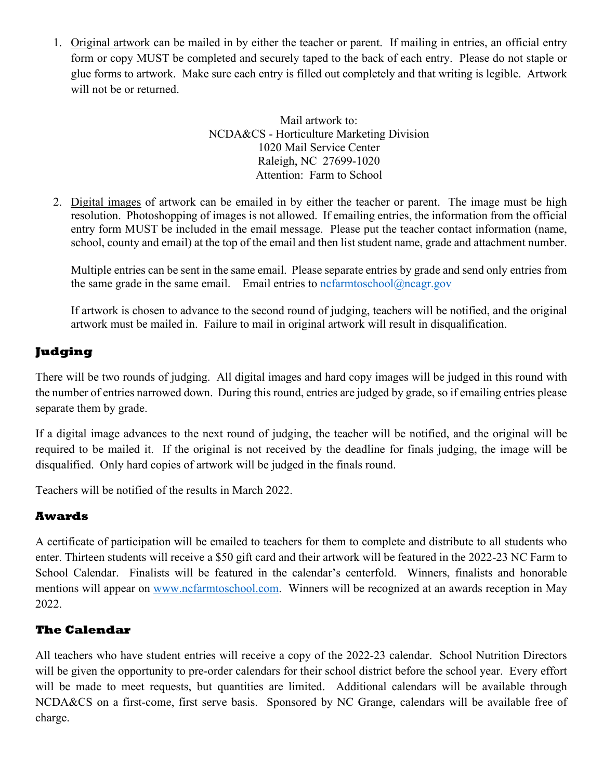1. Original artwork can be mailed in by either the teacher or parent. If mailing in entries, an official entry form or copy MUST be completed and securely taped to the back of each entry. Please do not staple or glue forms to artwork. Make sure each entry is filled out completely and that writing is legible. Artwork will not be or returned.

> Mail artwork to: NCDA&CS - Horticulture Marketing Division 1020 Mail Service Center Raleigh, NC 27699-1020 Attention: Farm to School

2. Digital images of artwork can be emailed in by either the teacher or parent. The image must be high resolution. Photoshopping of images is not allowed. If emailing entries, the information from the official entry form MUST be included in the email message. Please put the teacher contact information (name, school, county and email) at the top of the email and then list student name, grade and attachment number.

Multiple entries can be sent in the same email. Please separate entries by grade and send only entries from the same grade in the same email. Email entries to [ncfarmtoschool@ncagr.gov](mailto:ncfarmtoschool@ncagr.gov)

If artwork is chosen to advance to the second round of judging, teachers will be notified, and the original artwork must be mailed in. Failure to mail in original artwork will result in disqualification.

## **Judging**

There will be two rounds of judging. All digital images and hard copy images will be judged in this round with the number of entries narrowed down. During this round, entries are judged by grade, so if emailing entries please separate them by grade.

If a digital image advances to the next round of judging, the teacher will be notified, and the original will be required to be mailed it. If the original is not received by the deadline for finals judging, the image will be disqualified. Only hard copies of artwork will be judged in the finals round.

Teachers will be notified of the results in March 2022.

#### **Awards**

A certificate of participation will be emailed to teachers for them to complete and distribute to all students who enter. Thirteen students will receive a \$50 gift card and their artwork will be featured in the 2022-23 NC Farm to School Calendar. Finalists will be featured in the calendar's centerfold. Winners, finalists and honorable mentions will appear on [www.ncfarmtoschool.com.](http://www.ncfarmtoschool.com/) Winners will be recognized at an awards reception in May 2022.

### **The Calendar**

All teachers who have student entries will receive a copy of the 2022-23 calendar. School Nutrition Directors will be given the opportunity to pre-order calendars for their school district before the school year. Every effort will be made to meet requests, but quantities are limited. Additional calendars will be available through NCDA&CS on a first-come, first serve basis. Sponsored by NC Grange, calendars will be available free of charge.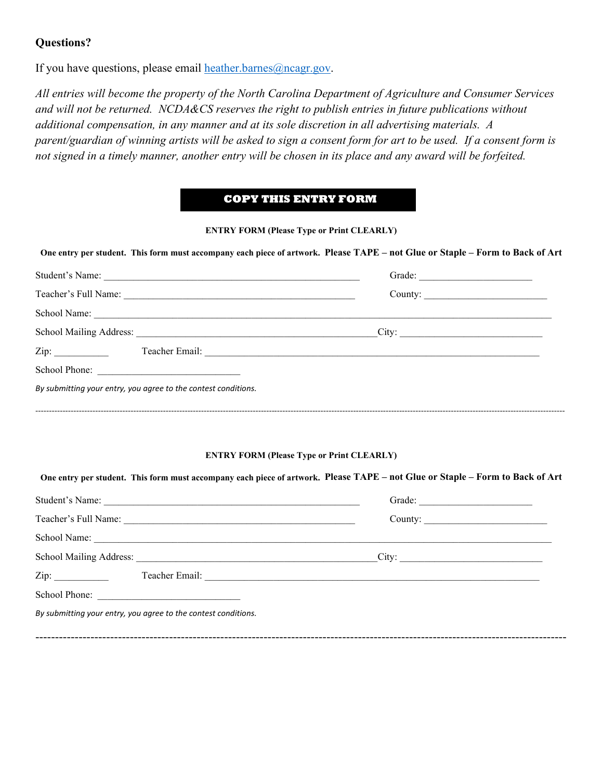#### **Questions?**

If you have questions, please email [heather.barnes@ncagr.gov.](mailto:heather.barnes@ncagr.gov)

*All entries will become the property of the North Carolina Department of Agriculture and Consumer Services and will not be returned. NCDA&CS reserves the right to publish entries in future publications without additional compensation, in any manner and at its sole discretion in all advertising materials. A parent/guardian of winning artists will be asked to sign a consent form for art to be used. If a consent form is not signed in a timely manner, another entry will be chosen in its place and any award will be forfeited.*

#### **COPY THIS ENTRY FORM**

#### **ENTRY FORM (Please Type or Print CLEARLY)**

|  |  | One entry per student. This form must accompany each piece of artwork. Please TAPE - not Glue or Staple - Form to Back of Art |
|--|--|-------------------------------------------------------------------------------------------------------------------------------|
|--|--|-------------------------------------------------------------------------------------------------------------------------------|

| Student's Name:      |                                                                | Grade:  |  |
|----------------------|----------------------------------------------------------------|---------|--|
| Teacher's Full Name: |                                                                | County: |  |
|                      | School Name:                                                   |         |  |
|                      |                                                                | City:   |  |
| Zip:                 |                                                                |         |  |
| School Phone:        |                                                                |         |  |
|                      | By submitting your entry, you agree to the contest conditions. |         |  |
|                      |                                                                |         |  |

#### **ENTRY FORM (Please Type or Print CLEARLY)**

#### **One entry per student. This form must accompany each piece of artwork. Please TAPE – not Glue or Staple – Form to Back of Art**

| Student's Name:                                       |
|-------------------------------------------------------|
| County: $\qquad \qquad$                               |
|                                                       |
| City:                                                 |
| Teacher Email: <u>Department of the Communication</u> |
|                                                       |
|                                                       |
|                                                       |
|                                                       |